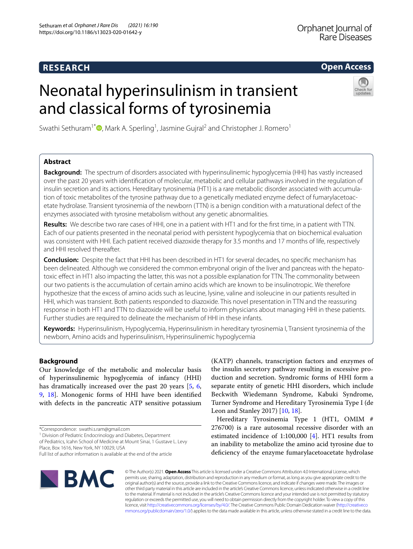# **RESEARCH**

# **Open Access**

# Neonatal hyperinsulinism in transient and classical forms of tyrosinemia



Swathi Sethuram<sup>1\*</sup><sup>®</sup>[,](http://orcid.org/0000-0002-7101-5045) Mark A. Sperling<sup>1</sup>, Jasmine Gujral<sup>2</sup> and Christopher J. Romero<sup>1</sup>

## **Abstract**

**Background:** The spectrum of disorders associated with hyperinsulinemic hypoglycemia (HHI) has vastly increased over the past 20 years with identifcation of molecular, metabolic and cellular pathways involved in the regulation of insulin secretion and its actions. Hereditary tyrosinemia (HT1) is a rare metabolic disorder associated with accumulation of toxic metabolites of the tyrosine pathway due to a genetically mediated enzyme defect of fumarylacetoacetate hydrolase. Transient tyrosinemia of the newborn (TTN) is a benign condition with a maturational defect of the enzymes associated with tyrosine metabolism without any genetic abnormalities.

**Results:** We describe two rare cases of HHI, one in a patient with HT1 and for the frst time, in a patient with TTN. Each of our patients presented in the neonatal period with persistent hypoglycemia that on biochemical evaluation was consistent with HHI. Each patient received diazoxide therapy for 3.5 months and 17 months of life, respectively and HHI resolved thereafter.

**Conclusion:** Despite the fact that HHI has been described in HT1 for several decades, no specifc mechanism has been delineated. Although we considered the common embryonal origin of the liver and pancreas with the hepatotoxic efect in HT1 also impacting the latter, this was not a possible explanation for TTN. The commonality between our two patients is the accumulation of certain amino acids which are known to be insulinotropic. We therefore hypothesize that the excess of amino acids such as leucine, lysine, valine and isoleucine in our patients resulted in HHI, which was transient. Both patients responded to diazoxide. This novel presentation in TTN and the reassuring response in both HT1 and TTN to diazoxide will be useful to inform physicians about managing HHI in these patients. Further studies are required to delineate the mechanism of HHI in these infants.

**Keywords:** Hyperinsulinism, Hypoglycemia, Hyperinsulinism in hereditary tyrosinemia I, Transient tyrosinemia of the newborn, Amino acids and hyperinsulinism, Hyperinsulinemic hypoglycemia

## **Background**

Our knowledge of the metabolic and molecular basis of hyperinsulinemic hypoglycemia of infancy (HHI) has dramatically increased over the past 20 years [\[5](#page-4-0), [6](#page-4-1), [9,](#page-4-2) [18](#page-5-0)]. Monogenic forms of HHI have been identifed with defects in the pancreatic ATP sensitive potassium

<sup>1</sup> Division of Pediatric Endocrinology and Diabetes, Department

of Pediatrics, Icahn School of Medicine at Mount Sinai, 1 Gustave L. Levy Place, Box 1616, New York, NY 10029, USA

**BMC** 

(KATP) channels, transcription factors and enzymes of the insulin secretory pathway resulting in excessive production and secretion. Syndromic forms of HHI form a separate entity of genetic HHI disorders, which include Beckwith Wiedemann Syndrome, Kabuki Syndrome, Turner Syndrome and Hereditary Tyrosinemia Type I (de Leon and Stanley 2017) [[10,](#page-5-1) [18](#page-5-0)].

Hereditary Tyrosinemia Type 1 (HT1, OMIM # 276700) is a rare autosomal recessive disorder with an estimated incidence of 1:100,000 [[4\]](#page-4-3). HT1 results from an inability to metabolize the amino acid tyrosine due to deficiency of the enzyme fumarylacetoacetate hydrolase

© The Author(s) 2021. **Open Access** This article is licensed under a Creative Commons Attribution 4.0 International License, which permits use, sharing, adaptation, distribution and reproduction in any medium or format, as long as you give appropriate credit to the original author(s) and the source, provide a link to the Creative Commons licence, and indicate if changes were made. The images or other third party material in this article are included in the article's Creative Commons licence, unless indicated otherwise in a credit line to the material. If material is not included in the article's Creative Commons licence and your intended use is not permitted by statutory regulation or exceeds the permitted use, you will need to obtain permission directly from the copyright holder. To view a copy of this licence, visit [http://creativecommons.org/licenses/by/4.0/.](http://creativecommons.org/licenses/by/4.0/) The Creative Commons Public Domain Dedication waiver ([http://creativeco](http://creativecommons.org/publicdomain/zero/1.0/) [mmons.org/publicdomain/zero/1.0/](http://creativecommons.org/publicdomain/zero/1.0/)) applies to the data made available in this article, unless otherwise stated in a credit line to the data.

<sup>\*</sup>Correspondence: swathi.s.ram@gmail.com

Full list of author information is available at the end of the article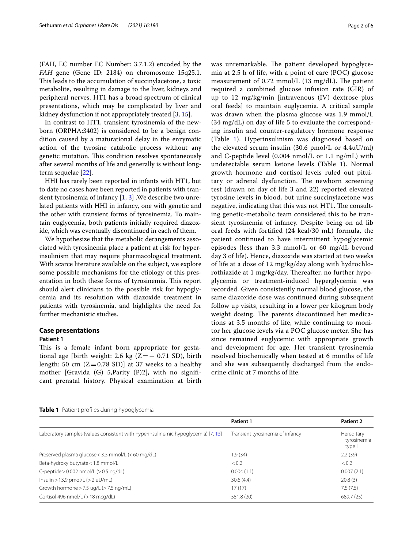(FAH, EC number EC Number: 3.7.1.2) encoded by the *FAH* gene (Gene ID: 2184) on chromosome 15q25.1. This leads to the accumulation of succinylacetone, a toxic metabolite, resulting in damage to the liver, kidneys and peripheral nerves. HT1 has a broad spectrum of clinical presentations, which may be complicated by liver and kidney dysfunction if not appropriately treated [\[3](#page-4-4), [15\]](#page-5-2).

In contrast to HT1, transient tyrosinemia of the newborn (ORPHA:3402) is considered to be a benign condition caused by a maturational delay in the enzymatic action of the tyrosine catabolic process without any genetic mutation. This condition resolves spontaneously after several months of life and generally is without longterm sequelae [\[22\]](#page-5-3).

HHI has rarely been reported in infants with HT1, but to date no cases have been reported in patients with transient tyrosinemia of infancy  $[1, 3]$  $[1, 3]$  $[1, 3]$  $[1, 3]$ . We describe two unrelated patients with HHI in infancy, one with genetic and the other with transient forms of tyrosinemia. To maintain euglycemia, both patients initially required diazoxide, which was eventually discontinued in each of them.

We hypothesize that the metabolic derangements associated with tyrosinemia place a patient at risk for hyperinsulinism that may require pharmacological treatment. With scarce literature available on the subject, we explore some possible mechanisms for the etiology of this presentation in both these forms of tyrosinemia. This report should alert clinicians to the possible risk for hypoglycemia and its resolution with diazoxide treatment in patients with tyrosinemia, and highlights the need for further mechanistic studies.

#### **Case presentations**

#### **Patient 1**

This is a female infant born appropriate for gestational age [birth weight: 2.6 kg ( $Z = -0.71$  SD), birth length: 50 cm  $(Z=0.78 \text{ SD})$ ] at 37 weeks to a healthy mother [Gravida (G) 5,Parity (P)2], with no signifcant prenatal history. Physical examination at birth was unremarkable. The patient developed hypoglycemia at 2.5 h of life, with a point of care (POC) glucose measurement of  $0.72$  mmol/L  $(13 \text{ mg/dL})$ . The patient required a combined glucose infusion rate (GIR) of up to 12 mg/kg/min [intravenous (IV) dextrose plus oral feeds] to maintain euglycemia. A critical sample was drawn when the plasma glucose was 1.9 mmol/L (34 mg/dL) on day of life 5 to evaluate the corresponding insulin and counter-regulatory hormone response (Table [1\)](#page-1-0). Hyperinsulinism was diagnosed based on the elevated serum insulin  $(30.6 \text{ pmol/L or } 4.4 \text{uU/ml})$ and C-peptide level (0.004 nmol/L or 1.1 ng/mL) with undetectable serum ketone levels (Table [1](#page-1-0)). Normal growth hormone and cortisol levels ruled out pituitary or adrenal dysfunction. The newborn screening test (drawn on day of life 3 and 22) reported elevated tyrosine levels in blood, but urine succinylacetone was negative, indicating that this was not  $HT1$ . The consulting genetic-metabolic team considered this to be transient tyrosinemia of infancy. Despite being on ad lib

oral feeds with fortifed (24 kcal/30 mL) formula, the patient continued to have intermittent hypoglycemic episodes (less than 3.3 mmol/L or 60 mg/dL beyond day 3 of life). Hence, diazoxide was started at two weeks of life at a dose of 12 mg/kg/day along with hydrochlorothiazide at 1 mg/kg/day. Thereafter, no further hypoglycemia or treatment-induced hyperglycemia was recorded. Given consistently normal blood glucose, the same diazoxide dose was continued during subsequent follow up visits, resulting in a lower per kilogram body weight dosing. The parents discontinued her medications at 3.5 months of life, while continuing to monitor her glucose levels via a POC glucose meter. She has since remained euglycemic with appropriate growth and development for age. Her transient tyrosinemia resolved biochemically when tested at 6 months of life and she was subsequently discharged from the endocrine clinic at 7 months of life.

<span id="page-1-0"></span>

| Table 1 Patient profiles during hypoglycemia |  |  |  |
|----------------------------------------------|--|--|--|
|                                              |  |  |  |

|                                                                                   | <b>Patient 1</b>                 | <b>Patient 2</b>                    |  |
|-----------------------------------------------------------------------------------|----------------------------------|-------------------------------------|--|
| Laboratory samples (values consistent with hyperinsulinemic hypoglycemia) [7, 13] | Transient tyrosinemia of infancy | Hereditary<br>tyrosinemia<br>type I |  |
| Preserved plasma glucose < 3.3 mmol/L (< 60 mg/dL)                                | 1.9 (34)                         | 2.2(39)                             |  |
| Beta-hydroxy butyrate < 1.8 mmol/L                                                | < 0.2                            | < 0.2                               |  |
| C-peptide $> 0.002$ nmol/L ( $> 0.5$ ng/dL)                                       | 0.004(1.1)                       | 0.007(2.1)                          |  |
| $Insulin > 13.9$ pmol/L ( $> 2$ uU/mL)                                            | 30.6(4.4)                        | 20.8(3)                             |  |
| Growth hormone $>$ 7.5 ug/L ( $>$ 7.5 ng/mL)                                      | 17(17)                           | 7.5(7.5)                            |  |
| Cortisol 496 nmol/L (> 18 mcg/dL)                                                 | 551.8 (20)                       | 689.7 (25)                          |  |
|                                                                                   |                                  |                                     |  |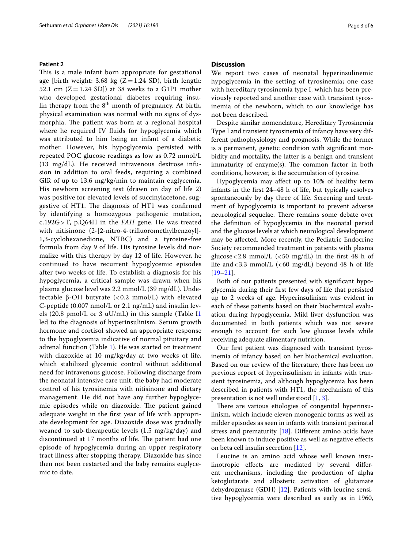#### **Patient 2**

This is a male infant born appropriate for gestational age [birth weight: 3.68  $kg$  (Z = 1.24 SD), birth length: 52.1 cm  $(Z=1.24$  SD]) at 38 weeks to a G1P1 mother who developed gestational diabetes requiring insulin therapy from the  $8<sup>th</sup>$  month of pregnancy. At birth, physical examination was normal with no signs of dysmorphia. The patient was born at a regional hospital where he required IV fluids for hypoglycemia which was attributed to him being an infant of a diabetic mother. However, his hypoglycemia persisted with repeated POC glucose readings as low as 0.72 mmol/L (13 mg/dL). He received intravenous dextrose infusion in addition to oral feeds, requiring a combined GIR of up to 13.6 mg/kg/min to maintain euglycemia. His newborn screening test (drawn on day of life 2) was positive for elevated levels of succinylacetone, suggestive of HT1. The diagnosis of HT1 was confirmed by identifying a homozygous pathogenic mutation, c.192G >T, p.Q64H in the *FAH* gene. He was treated with nitisinone (2-[2-nitro-4-trifuoromethylbenzoyl]- 1,3-cyclohexanedione, NTBC) and a tyrosine-free formula from day 9 of life. His tyrosine levels did normalize with this therapy by day 12 of life. However, he continued to have recurrent hypoglycemic episodes after two weeks of life. To establish a diagnosis for his hypoglycemia, a critical sample was drawn when his plasma glucose level was 2.2 mmol/L (39 mg/dL). Undetectable β-OH butyrate (< 0.2 mmol/L) with elevated C-peptide (0.007 nmol/L or 2.1 ng/mL) and insulin levels (20.8 pmol/L or 3 uU/mL) in this sample (Table I[1](#page-1-0) led to the diagnosis of hyperinsulinism. Serum growth hormone and cortisol showed an appropriate response to the hypoglycemia indicative of normal pituitary and adrenal function (Table [1\)](#page-1-0). He was started on treatment with diazoxide at 10 mg/kg/day at two weeks of life, which stabilized glycemic control without additional need for intravenous glucose. Following discharge from the neonatal intensive care unit, the baby had moderate control of his tyrosinemia with nitisinone and dietary management. He did not have any further hypoglycemic episodes while on diazoxide. The patient gained adequate weight in the frst year of life with appropriate development for age. Diazoxide dose was gradually weaned to sub-therapeutic levels (1.5 mg/kg/day) and discontinued at 17 months of life. The patient had one episode of hypoglycemia during an upper respiratory tract illness after stopping therapy. Diazoxide has since then not been restarted and the baby remains euglycemic to date.

#### **Discussion**

We report two cases of neonatal hyperinsulinemic hypoglycemia in the setting of tyrosinemia; one case with hereditary tyrosinemia type I, which has been previously reported and another case with transient tyrosinemia of the newborn, which to our knowledge has not been described.

Despite similar nomenclature, Hereditary Tyrosinemia Type I and transient tyrosinemia of infancy have very different pathophysiology and prognosis. While the former is a permanent, genetic condition with signifcant morbidity and mortality, the latter is a benign and transient  $immutuity$  of enzyme $(s)$ . The common factor in both conditions, however, is the accumulation of tyrosine.

Hypoglycemia may afect up to 10% of healthy term infants in the frst 24–48 h of life, but typically resolves spontaneously by day three of life. Screening and treatment of hypoglycemia is important to prevent adverse neurological sequelae. There remains some debate over the defnition of hypoglycemia in the neonatal period and the glucose levels at which neurological development may be afected. More recently, the Pediatric Endocrine Society recommended treatment in patients with plasma glucose <  $2.8$  mmol/L (<  $50$  mg/dL) in the first 48 h of life and  $<3.3$  mmol/L ( $<60$  mg/dL) beyond 48 h of life  $[19-21]$  $[19-21]$ .

Both of our patients presented with signifcant hypoglycemia during their frst few days of life that persisted up to 2 weeks of age. Hyperinsulinism was evident in each of these patients based on their biochemical evaluation during hypoglycemia. Mild liver dysfunction was documented in both patients which was not severe enough to account for such low glucose levels while receiving adequate alimentary nutrition.

Our first patient was diagnosed with transient tyrosinemia of infancy based on her biochemical evaluation. Based on our review of the literature, there has been no previous report of hyperinsulinism in infants with transient tyrosinemia, and although hypoglycemia has been described in patients with HT1, the mechanism of this presentation is not well understood [[1,](#page-4-5) [3](#page-4-4)].

There are various etiologies of congenital hyperinsulinism, which include eleven monogenic forms as well as milder episodes as seen in infants with transient perinatal stress and prematurity [\[18\]](#page-5-0). Diferent amino acids have been known to induce positive as well as negative efects on beta cell insulin secretion [[12\]](#page-5-7).

Leucine is an amino acid whose well known insulinotropic efects are mediated by several diferent mechanisms, including the production of alpha ketoglutarate and allosteric activation of glutamate dehydrogenase (GDH) [[12\]](#page-5-7). Patients with leucine sensitive hypoglycemia were described as early as in 1960,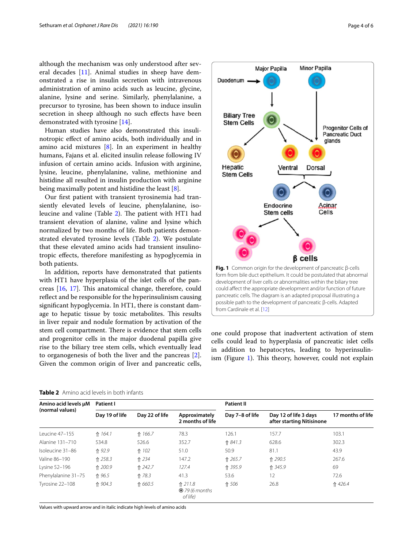although the mechanism was only understood after several decades [[11\]](#page-5-8). Animal studies in sheep have demonstrated a rise in insulin secretion with intravenous administration of amino acids such as leucine, glycine, alanine, lysine and serine. Similarly, phenylalanine, a precursor to tyrosine, has been shown to induce insulin secretion in sheep although no such efects have been demonstrated with tyrosine [[14\]](#page-5-9).

Human studies have also demonstrated this insulinotropic efect of amino acids, both individually and in amino acid mixtures [\[8](#page-4-7)]. In an experiment in healthy humans, Fajans et al. elicited insulin release following IV infusion of certain amino acids. Infusion with arginine, lysine, leucine, phenylalanine, valine, methionine and histidine all resulted in insulin production with arginine being maximally potent and histidine the least [\[8](#page-4-7)].

Our frst patient with transient tyrosinemia had transiently elevated levels of leucine, phenylalanine, iso-leucine and valine (Table [2\)](#page-3-0). The patient with HT1 had transient elevation of alanine, valine and lysine which normalized by two months of life. Both patients demonstrated elevated tyrosine levels (Table [2\)](#page-3-0). We postulate that these elevated amino acids had transient insulinotropic efects, therefore manifesting as hypoglycemia in both patients.

In addition, reports have demonstrated that patients with HT1 have hyperplasia of the islet cells of the pancreas  $[16, 17]$  $[16, 17]$  $[16, 17]$  $[16, 17]$  $[16, 17]$ . This anatomical change, therefore, could refect and be responsible for the hyperinsulinism causing signifcant hypoglycemia. In HT1, there is constant damage to hepatic tissue by toxic metabolites. This results in liver repair and nodule formation by activation of the stem cell compartment. There is evidence that stem cells and progenitor cells in the major duodenal papilla give rise to the biliary tree stem cells, which eventually lead to organogenesis of both the liver and the pancreas [\[2](#page-4-8)]. Given the common origin of liver and pancreatic cells,



<span id="page-3-1"></span>one could propose that inadvertent activation of stem cells could lead to hyperplasia of pancreatic islet cells in addition to hepatocytes, leading to hyperinsulinism (Figure  $1$ ). This theory, however, could not explain

| Amino acid levels µM<br>(normal values) | Patient I      |                |                                              | <b>Patient II</b> |                                                    |                   |
|-----------------------------------------|----------------|----------------|----------------------------------------------|-------------------|----------------------------------------------------|-------------------|
|                                         | Day 19 of life | Day 22 of life | Approximately<br>2 months of life            | Day 7-8 of life   | Day 12 of life 3 days<br>after starting Nitisinone | 17 months of life |
| Leucine 47-155                          | ↑ 164.1        | ↑ 166.7        | 78.3                                         | 126.1             | 157.7                                              | 103.1             |
| Alanine 131-710                         | 534.8          | 526.6          | 352.7                                        | ↑ 841.3           | 628.6                                              | 302.3             |
| Isoleucine 31-86                        | ↑ 92.9         | ↑ 102          | 51.0                                         | 50.9              | 81.1                                               | 43.9              |
| Valine 86-190                           | ↑ 258.3        | ↑ 234          | 147.2                                        | ↑ 265.7           | ↑ 290.5                                            | 267.6             |
| Lysine 52-196                           | ↑ 200.9        | ↑ 242.7        | 127.4                                        | ↑ 395.9           | ↑ 345.9                                            | 69                |
| Phenylalanine 31-75                     | ↑ 96.5         | ↑ 78.3         | 41.3                                         | 53.6              | 12                                                 | 72.6              |
| Tyrosine 22-108                         | ↑ 904.3        | ↑ 660.5        | ↑ 211.8<br><b>❸</b> 79 (6 months<br>of life) | ↑ 506             | 26.8                                               | ↑ 426.4           |

<span id="page-3-0"></span>**Table 2** Amino acid levels in both infants

Values with upward arrow and in italic indicate high levels of amino acids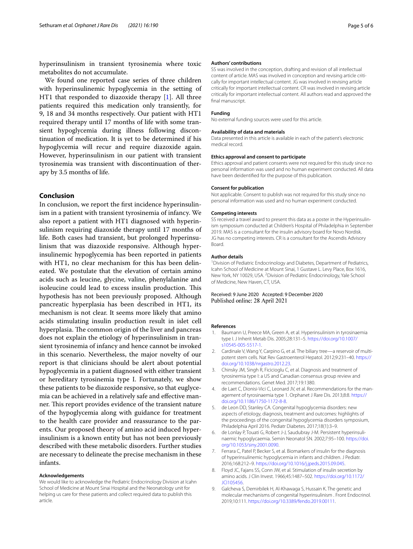hyperinsulinism in transient tyrosinemia where toxic metabolites do not accumulate.

We found one reported case series of three children with hyperinsulinemic hypoglycemia in the setting of HT1 that responded to diazoxide therapy [\[1](#page-4-5)]. All three patients required this medication only transiently, for 9, 18 and 34 months respectively. Our patient with HT1 required therapy until 17 months of life with some transient hypoglycemia during illness following discontinuation of medication. It is yet to be determined if his hypoglycemia will recur and require diazoxide again. However, hyperinsulinism in our patient with transient tyrosinemia was transient with discontinuation of therapy by 3.5 months of life.

### **Conclusion**

In conclusion, we report the frst incidence hyperinsulinism in a patient with transient tyrosinemia of infancy. We also report a patient with HT1 diagnosed with hyperinsulinism requiring diazoxide therapy until 17 months of life. Both cases had transient, but prolonged hyperinsulinism that was diazoxide responsive. Although hyperinsulinemic hypoglycemia has been reported in patients with HT1, no clear mechanism for this has been delineated. We postulate that the elevation of certain amino acids such as leucine, glycine, valine, phenylalanine and isoleucine could lead to excess insulin production. This hypothesis has not been previously proposed. Although pancreatic hyperplasia has been described in HT1, its mechanism is not clear. It seems more likely that amino acids stimulating insulin production result in islet cell hyperplasia. The common origin of the liver and pancreas does not explain the etiology of hyperinsulinism in transient tyrosinemia of infancy and hence cannot be invoked in this scenario. Nevertheless, the major novelty of our report is that clinicians should be alert about potential hypoglycemia in a patient diagnosed with either transient or hereditary tyrosinemia type I. Fortunately, we show these patients to be diazoxide responsive, so that euglycemia can be achieved in a relatively safe and efective manner. This report provides evidence of the transient nature of the hypoglycemia along with guidance for treatment to the health care provider and reassurance to the parents. Our proposed theory of amino acid induced hyperinsulinism is a known entity but has not been previously described with these metabolic disorders. Further studies are necessary to delineate the precise mechanism in these infants.

#### **Acknowledgements**

We would like to acknowledge the Pediatric Endocrinology Division at Icahn School of Medicine at Mount Sinai Hospital and the Neonatology unit for helping us care for these patients and collect required data to publish this article.

#### **Authors' contributions**

SS was involved in the conception, drafting and revision of all intellectual content of article. MAS was involved in conception and revising article critically for important intellectual content. JG was involved in revising article critically for important intellectual content. CR was involved in revising article critically for important intellectual content. All authors read and approved the fnal manuscript.

#### **Funding**

No external funding sources were used for this article.

#### **Availability of data and materials**

Data presented in this article is available in each of the patient's electronic medical record.

#### **Ethics approval and consent to participate**

Ethics approval and patient consents were not required for this study since no personal information was used and no human experiment conducted. All data have been deidentifed for the purpose of this publication.

#### **Consent for publication**

Not applicable. Consent to publish was not required for this study since no personal information was used and no human experiment conducted.

#### **Competing interests**

SS received a travel award to present this data as a poster in the Hyperinsulinism symposium conducted at Children's Hospital of Philadelphia in September 2019. MAS is a consultant for the insulin advisory board for Novo Nordisk. JG has no competing interests. CR is a consultant for the Ascendis Advisory Board.

#### **Author details**

<sup>1</sup> Division of Pediatric Endocrinology and Diabetes, Department of Pediatrics, Icahn School of Medicine at Mount Sinai, 1 Gustave L. Levy Place, Box 1616, New York, NY 10029, USA. <sup>2</sup> Division of Pediatric Endocrinology, Yale School of Medicine, New Haven, CT, USA.

#### Received: 9 June 2020 Accepted: 9 December 2020 Published online: 28 April 2021

#### **References**

- <span id="page-4-5"></span>Baumann U, Preece MA, Green A, et al. Hyperinsulinism in tyrosinaemia type I. J Inherit Metab Dis. 2005;28:131–5. [https://doi.org/10.1007/](https://doi.org/10.1007/s10545-005-5517-1) [s10545-005-5517-1.](https://doi.org/10.1007/s10545-005-5517-1)
- <span id="page-4-8"></span>2. Cardinale V, Wang Y, Carpino G, et al. The biliary tree—a reservoir of multipotent stem cells. Nat Rev Gastroenterol Hepatol. 2012;9:231–40. [https://](https://doi.org/10.1038/nrgastro.2012.23) [doi.org/10.1038/nrgastro.2012.23.](https://doi.org/10.1038/nrgastro.2012.23)
- <span id="page-4-4"></span>3. Chinsky JM, Singh R, Ficicioglu C, et al. Diagnosis and treatment of tyrosinemia type I: a US and Canadian consensus group review and recommendations. Genet Med. 2017;19:1380.
- <span id="page-4-3"></span>4. de Laet C, Dionisi-Vici C, Leonard JV, et al. Recommendations for the management of tyrosinaemia type 1. Orphanet J Rare Dis. 2013;8:8. [https://](https://doi.org/10.1186/1750-1172-8-8) [doi.org/10.1186/1750-1172-8-8.](https://doi.org/10.1186/1750-1172-8-8)
- <span id="page-4-0"></span>5. de Leon DD, Stanley CA. Congenital hypoglycemia disorders: new aspects of etiology, diagnosis, treatment and outcomes: highlights of the proceedings of the congenital hypoglycemia disorders symposium, Philadelphia April 2016. Pediatr Diabetes. 2017;18(1):3–9.
- <span id="page-4-1"></span>6. de Lonlay P, Touati G, Robert J-J, Saudubray J-M. Persistent hyperinsulinaemic hypoglycaemia. Semin Neonatol SN. 2002;7:95–100. [https://doi.](https://doi.org/10.1053/siny.2001.0090) [org/10.1053/siny.2001.0090.](https://doi.org/10.1053/siny.2001.0090)
- <span id="page-4-6"></span>7. Ferrara C, Patel P, Becker S, et al. Biomarkers of insulin for the diagnosis of hyperinsulinemic hypoglycemia in infants and children. J Pediatr. 2016;168:212–9.<https://doi.org/10.1016/j.jpeds.2015.09.045>.
- <span id="page-4-7"></span>8. Floyd JC, Fajans SS, Conn JW, et al. Stimulation of insulin secretion by amino acids. J Clin Invest. 1966;45:1487–502. [https://doi.org/10.1172/](https://doi.org/10.1172/JCI105456) [JCI105456](https://doi.org/10.1172/JCI105456).
- <span id="page-4-2"></span>9. Galcheva S, Demirbilek H, Al-Khawaga S, Hussain K. The genetic and molecular mechanisms of congenital hyperinsulinism . Front Endocrinol. 2019;10:111.<https://doi.org/10.3389/fendo.2019.00111>.